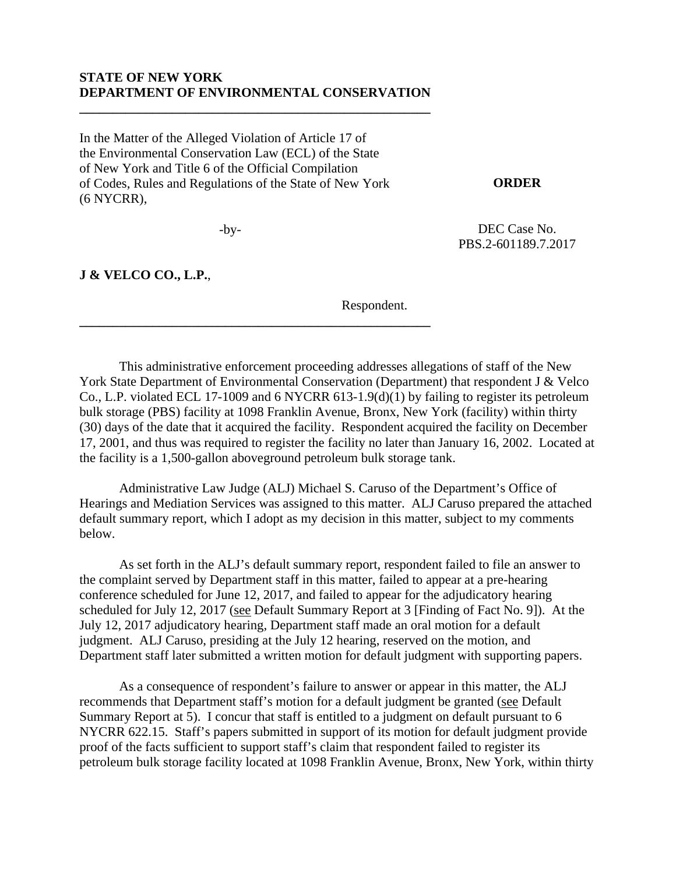#### **STATE OF NEW YORK DEPARTMENT OF ENVIRONMENTAL CONSERVATION**

**\_\_\_\_\_\_\_\_\_\_\_\_\_\_\_\_\_\_\_\_\_\_\_\_\_\_\_\_\_\_\_\_\_\_\_\_\_\_\_\_\_\_\_\_\_\_\_\_\_\_\_\_\_** 

**\_\_\_\_\_\_\_\_\_\_\_\_\_\_\_\_\_\_\_\_\_\_\_\_\_\_\_\_\_\_\_\_\_\_\_\_\_\_\_\_\_\_\_\_\_\_\_\_\_\_\_\_\_**

In the Matter of the Alleged Violation of Article 17 of the Environmental Conservation Law (ECL) of the State of New York and Title 6 of the Official Compilation of Codes, Rules and Regulations of the State of New York (6 NYCRR),

**ORDER** 

DEC Case No. PBS.2-601189.7.2017

 $-bv-$ 

**J & VELCO CO., L.P.**,

Respondent.

This administrative enforcement proceeding addresses allegations of staff of the New York State Department of Environmental Conservation (Department) that respondent J & Velco Co., L.P. violated ECL 17-1009 and 6 NYCRR 613-1.9(d)(1) by failing to register its petroleum bulk storage (PBS) facility at 1098 Franklin Avenue, Bronx, New York (facility) within thirty (30) days of the date that it acquired the facility. Respondent acquired the facility on December 17, 2001, and thus was required to register the facility no later than January 16, 2002. Located at the facility is a 1,500-gallon aboveground petroleum bulk storage tank.

Administrative Law Judge (ALJ) Michael S. Caruso of the Department's Office of Hearings and Mediation Services was assigned to this matter. ALJ Caruso prepared the attached default summary report, which I adopt as my decision in this matter, subject to my comments below.

As set forth in the ALJ's default summary report, respondent failed to file an answer to the complaint served by Department staff in this matter, failed to appear at a pre-hearing conference scheduled for June 12, 2017, and failed to appear for the adjudicatory hearing scheduled for July 12, 2017 (see Default Summary Report at 3 [Finding of Fact No. 9]). At the July 12, 2017 adjudicatory hearing, Department staff made an oral motion for a default judgment. ALJ Caruso, presiding at the July 12 hearing, reserved on the motion, and Department staff later submitted a written motion for default judgment with supporting papers.

As a consequence of respondent's failure to answer or appear in this matter, the ALJ recommends that Department staff's motion for a default judgment be granted (see Default Summary Report at 5). I concur that staff is entitled to a judgment on default pursuant to 6 NYCRR 622.15. Staff's papers submitted in support of its motion for default judgment provide proof of the facts sufficient to support staff's claim that respondent failed to register its petroleum bulk storage facility located at 1098 Franklin Avenue, Bronx, New York, within thirty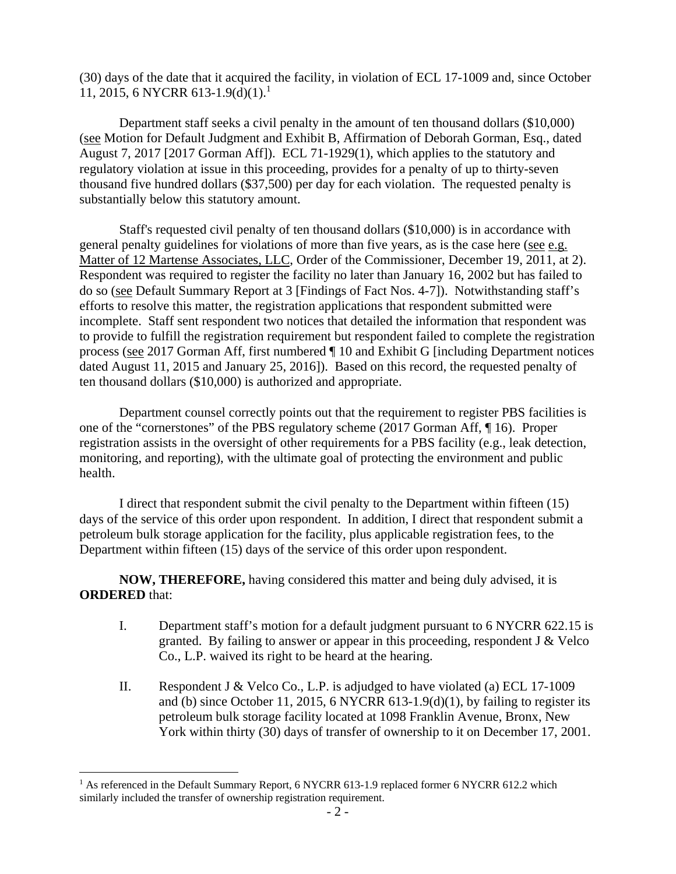(30) days of the date that it acquired the facility, in violation of ECL 17-1009 and, since October 11, 2015, 6 NYCRR 613-1.9(d)(1).<sup>1</sup>

Department staff seeks a civil penalty in the amount of ten thousand dollars (\$10,000) (see Motion for Default Judgment and Exhibit B, Affirmation of Deborah Gorman, Esq., dated August 7, 2017 [2017 Gorman Aff]). ECL 71-1929(1), which applies to the statutory and regulatory violation at issue in this proceeding, provides for a penalty of up to thirty-seven thousand five hundred dollars (\$37,500) per day for each violation. The requested penalty is substantially below this statutory amount.

Staff's requested civil penalty of ten thousand dollars (\$10,000) is in accordance with general penalty guidelines for violations of more than five years, as is the case here (see e.g. Matter of 12 Martense Associates, LLC, Order of the Commissioner, December 19, 2011, at 2). Respondent was required to register the facility no later than January 16, 2002 but has failed to do so (see Default Summary Report at 3 [Findings of Fact Nos. 4-7]). Notwithstanding staff's efforts to resolve this matter, the registration applications that respondent submitted were incomplete. Staff sent respondent two notices that detailed the information that respondent was to provide to fulfill the registration requirement but respondent failed to complete the registration process (see 2017 Gorman Aff, first numbered ¶ 10 and Exhibit G [including Department notices dated August 11, 2015 and January 25, 2016]). Based on this record, the requested penalty of ten thousand dollars (\$10,000) is authorized and appropriate.

Department counsel correctly points out that the requirement to register PBS facilities is one of the "cornerstones" of the PBS regulatory scheme (2017 Gorman Aff, ¶ 16). Proper registration assists in the oversight of other requirements for a PBS facility (e.g., leak detection, monitoring, and reporting), with the ultimate goal of protecting the environment and public health.

I direct that respondent submit the civil penalty to the Department within fifteen (15) days of the service of this order upon respondent. In addition, I direct that respondent submit a petroleum bulk storage application for the facility, plus applicable registration fees, to the Department within fifteen (15) days of the service of this order upon respondent.

**NOW, THEREFORE,** having considered this matter and being duly advised, it is **ORDERED** that:

- I. Department staff's motion for a default judgment pursuant to 6 NYCRR 622.15 is granted. By failing to answer or appear in this proceeding, respondent J & Velco Co., L.P. waived its right to be heard at the hearing.
- II. Respondent J & Velco Co., L.P. is adjudged to have violated (a) ECL 17-1009 and (b) since October 11, 2015, 6 NYCRR 613-1.9(d)(1), by failing to register its petroleum bulk storage facility located at 1098 Franklin Avenue, Bronx, New York within thirty (30) days of transfer of ownership to it on December 17, 2001.

 $\overline{a}$ <sup>1</sup> As referenced in the Default Summary Report, 6 NYCRR 613-1.9 replaced former 6 NYCRR 612.2 which similarly included the transfer of ownership registration requirement.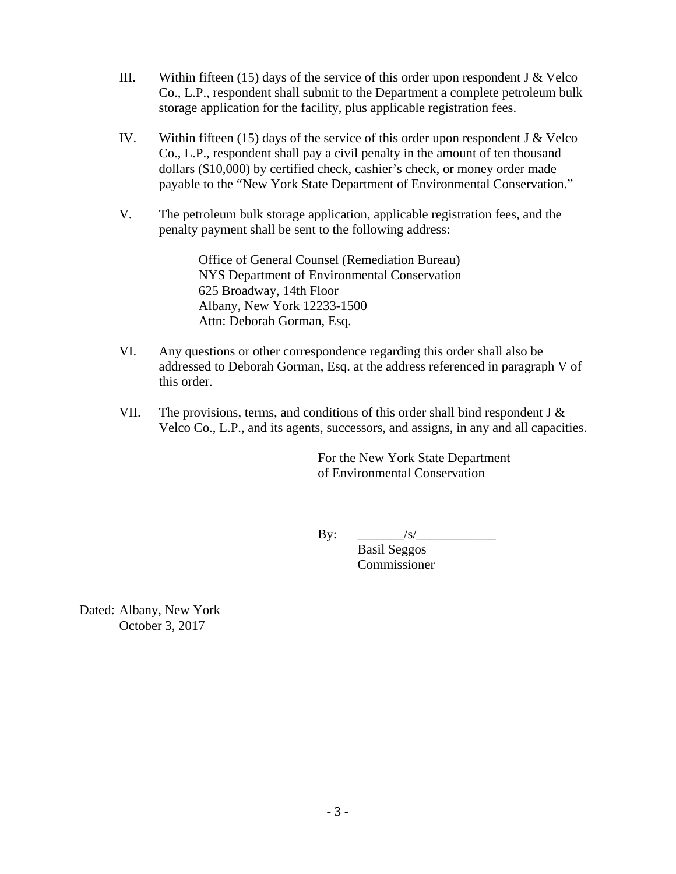- III. Within fifteen (15) days of the service of this order upon respondent J  $&$  Velco Co., L.P., respondent shall submit to the Department a complete petroleum bulk storage application for the facility, plus applicable registration fees.
- IV. Within fifteen (15) days of the service of this order upon respondent J & Velco Co., L.P., respondent shall pay a civil penalty in the amount of ten thousand dollars (\$10,000) by certified check, cashier's check, or money order made payable to the "New York State Department of Environmental Conservation."
- V. The petroleum bulk storage application, applicable registration fees, and the penalty payment shall be sent to the following address:

Office of General Counsel (Remediation Bureau) NYS Department of Environmental Conservation 625 Broadway, 14th Floor Albany, New York 12233-1500 Attn: Deborah Gorman, Esq.

- VI. Any questions or other correspondence regarding this order shall also be addressed to Deborah Gorman, Esq. at the address referenced in paragraph V of this order.
- VII. The provisions, terms, and conditions of this order shall bind respondent J  $\&$ Velco Co., L.P., and its agents, successors, and assigns, in any and all capacities.

 For the New York State Department of Environmental Conservation

 $\mathbf{By:} \quad \_\_\_\_\_S/\_\_\_\_\_\_S/\_\_\_\_\_S/\_\_\_\_S/\_\_\_\_S/\_\_\_\_S/\_\_\_S/\_\_\_S/\_\_\_S/\_\_\_S/\_\_\_S/\_\_\_S/\_\_\_S/\_\_\_S/\_\_\_S/\_\_\_S/\_\_\_S/\_\_\_S/\_\_\_S/\_\_\_S/\_\_\_S/\_\_\_S/\_\_\_S/\_\_\_S/\_\_\_S/\_\_\_S/\_\_\_S/\_\_\_S/\_\_\_S/\_\_\_S/\_\_\_S/\_\_\_S/\_\_\_S/\_\_\_S/\_\_\_S/\_\_\_S/\_\_\_S/\_\_\_S/\_\_\_S/\_\_\_S/\$ 

 Basil Seggos Commissioner

Dated: Albany, New York October 3, 2017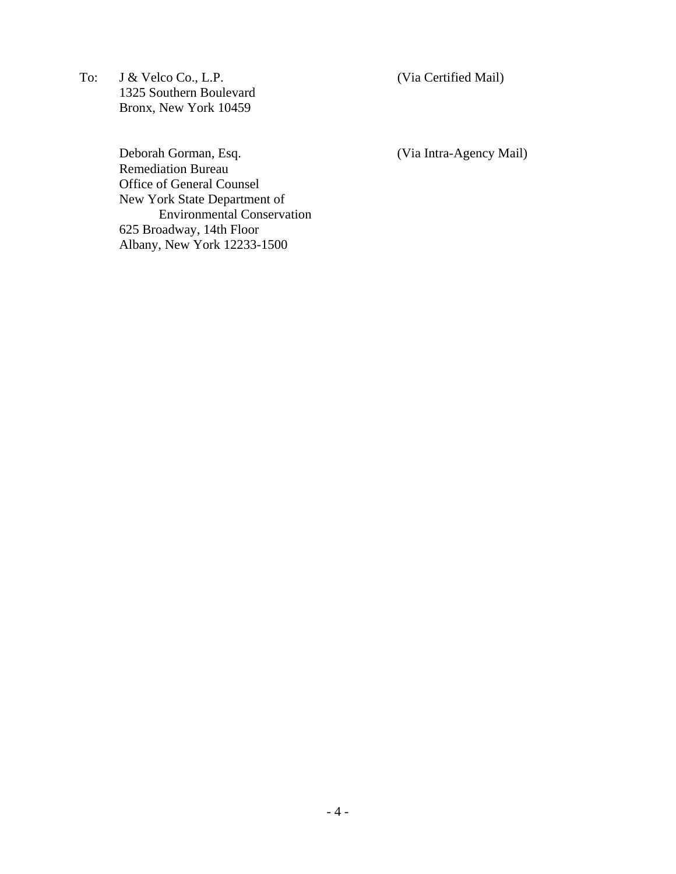To: J & Velco Co., L.P. (Via Certified Mail) 1325 Southern Boulevard Bronx, New York 10459

Deborah Gorman, Esq. (Via Intra-Agency Mail) Remediation Bureau Office of General Counsel New York State Department of Environmental Conservation 625 Broadway, 14th Floor Albany, New York 12233-1500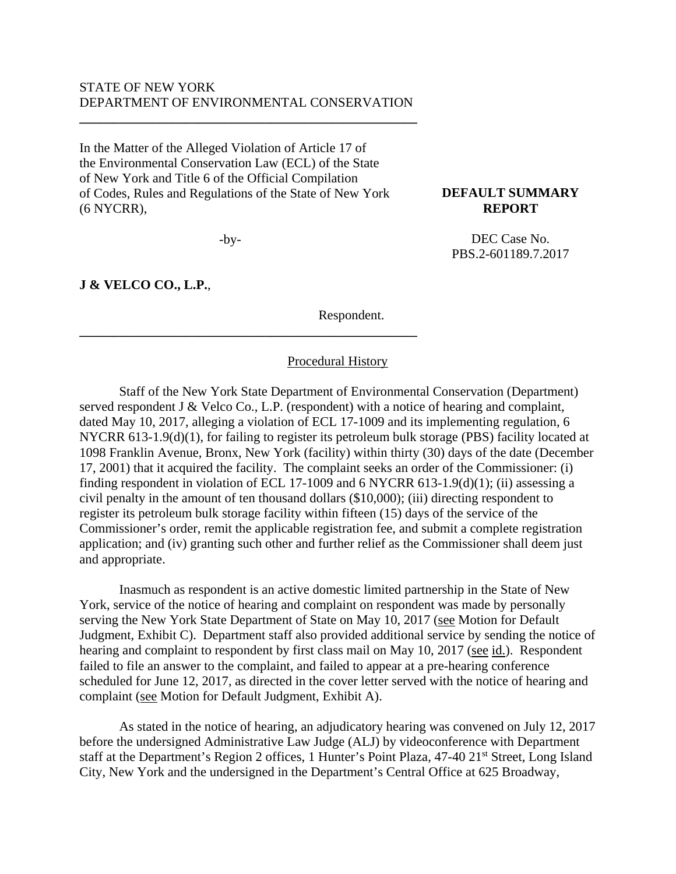#### STATE OF NEW YORK DEPARTMENT OF ENVIRONMENTAL CONSERVATION

**\_\_\_\_\_\_\_\_\_\_\_\_\_\_\_\_\_\_\_\_\_\_\_\_\_\_\_\_\_\_\_\_\_\_\_\_\_\_\_\_\_\_\_\_\_\_\_\_\_\_\_** 

In the Matter of the Alleged Violation of Article 17 of the Environmental Conservation Law (ECL) of the State of New York and Title 6 of the Official Compilation of Codes, Rules and Regulations of the State of New York (6 NYCRR),

 $-bv-$ 

**\_\_\_\_\_\_\_\_\_\_\_\_\_\_\_\_\_\_\_\_\_\_\_\_\_\_\_\_\_\_\_\_\_\_\_\_\_\_\_\_\_\_\_\_\_\_\_\_\_\_\_**

#### **J & VELCO CO., L.P.**,

Respondent.

**DEFAULT SUMMARY REPORT** 

DEC Case No. PBS.2-601189.7.2017

#### Procedural History

 Staff of the New York State Department of Environmental Conservation (Department) served respondent J & Velco Co., L.P. (respondent) with a notice of hearing and complaint, dated May 10, 2017, alleging a violation of ECL 17-1009 and its implementing regulation, 6 NYCRR 613-1.9(d)(1), for failing to register its petroleum bulk storage (PBS) facility located at 1098 Franklin Avenue, Bronx, New York (facility) within thirty (30) days of the date (December 17, 2001) that it acquired the facility. The complaint seeks an order of the Commissioner: (i) finding respondent in violation of ECL 17-1009 and 6 NYCRR 613-1.9(d)(1); (ii) assessing a civil penalty in the amount of ten thousand dollars (\$10,000); (iii) directing respondent to register its petroleum bulk storage facility within fifteen (15) days of the service of the Commissioner's order, remit the applicable registration fee, and submit a complete registration application; and (iv) granting such other and further relief as the Commissioner shall deem just and appropriate.

Inasmuch as respondent is an active domestic limited partnership in the State of New York, service of the notice of hearing and complaint on respondent was made by personally serving the New York State Department of State on May 10, 2017 (see Motion for Default Judgment, Exhibit C). Department staff also provided additional service by sending the notice of hearing and complaint to respondent by first class mail on May 10, 2017 (see id.). Respondent failed to file an answer to the complaint, and failed to appear at a pre-hearing conference scheduled for June 12, 2017, as directed in the cover letter served with the notice of hearing and complaint (see Motion for Default Judgment, Exhibit A).

As stated in the notice of hearing, an adjudicatory hearing was convened on July 12, 2017 before the undersigned Administrative Law Judge (ALJ) by videoconference with Department staff at the Department's Region 2 offices, 1 Hunter's Point Plaza, 47-40 21<sup>st</sup> Street, Long Island City, New York and the undersigned in the Department's Central Office at 625 Broadway,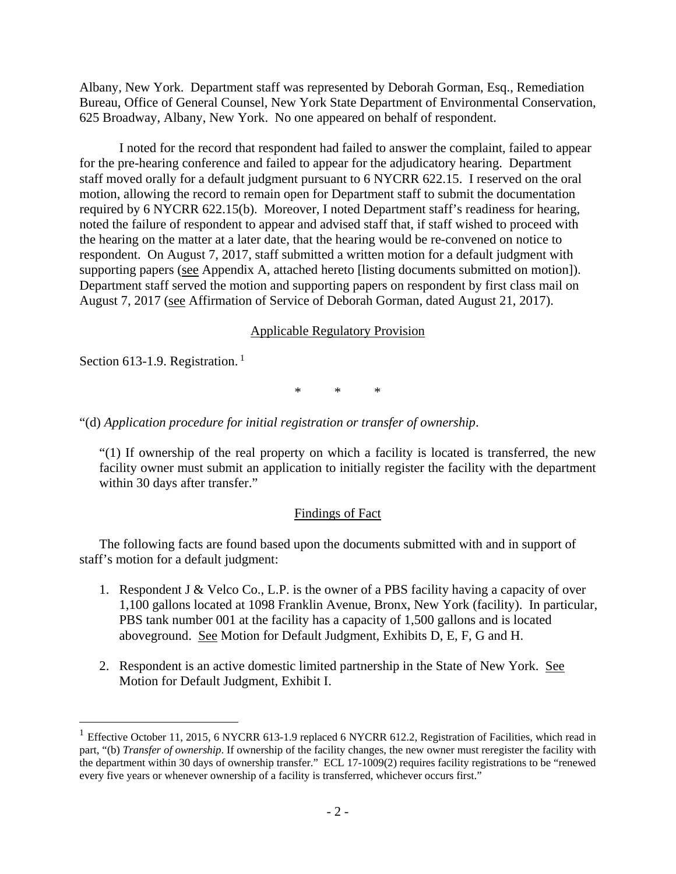Albany, New York. Department staff was represented by Deborah Gorman, Esq., Remediation Bureau, Office of General Counsel, New York State Department of Environmental Conservation, 625 Broadway, Albany, New York. No one appeared on behalf of respondent.

I noted for the record that respondent had failed to answer the complaint, failed to appear for the pre-hearing conference and failed to appear for the adjudicatory hearing. Department staff moved orally for a default judgment pursuant to 6 NYCRR 622.15. I reserved on the oral motion, allowing the record to remain open for Department staff to submit the documentation required by 6 NYCRR 622.15(b). Moreover, I noted Department staff's readiness for hearing, noted the failure of respondent to appear and advised staff that, if staff wished to proceed with the hearing on the matter at a later date, that the hearing would be re-convened on notice to respondent. On August 7, 2017, staff submitted a written motion for a default judgment with supporting papers (see Appendix A, attached hereto [listing documents submitted on motion]). Department staff served the motion and supporting papers on respondent by first class mail on August 7, 2017 (see Affirmation of Service of Deborah Gorman, dated August 21, 2017).

### Applicable Regulatory Provision

Section 613-1.9. Registration.<sup>1</sup>

 $\overline{a}$ 

\* \* \*

"(d) *Application procedure for initial registration or transfer of ownership*.

"(1) If ownership of the real property on which a facility is located is transferred, the new facility owner must submit an application to initially register the facility with the department within 30 days after transfer."

### Findings of Fact

The following facts are found based upon the documents submitted with and in support of staff's motion for a default judgment:

- 1. Respondent J & Velco Co., L.P. is the owner of a PBS facility having a capacity of over 1,100 gallons located at 1098 Franklin Avenue, Bronx, New York (facility). In particular, PBS tank number 001 at the facility has a capacity of 1,500 gallons and is located aboveground. See Motion for Default Judgment, Exhibits D, E, F, G and H.
- 2. Respondent is an active domestic limited partnership in the State of New York. See Motion for Default Judgment, Exhibit I.

<sup>&</sup>lt;sup>1</sup> Effective October 11, 2015, 6 NYCRR 613-1.9 replaced 6 NYCRR 612.2, Registration of Facilities, which read in part, "(b) *Transfer of ownership*. If ownership of the facility changes, the new owner must reregister the facility with the department within 30 days of ownership transfer." ECL 17-1009(2) requires facility registrations to be "renewed every five years or whenever ownership of a facility is transferred, whichever occurs first."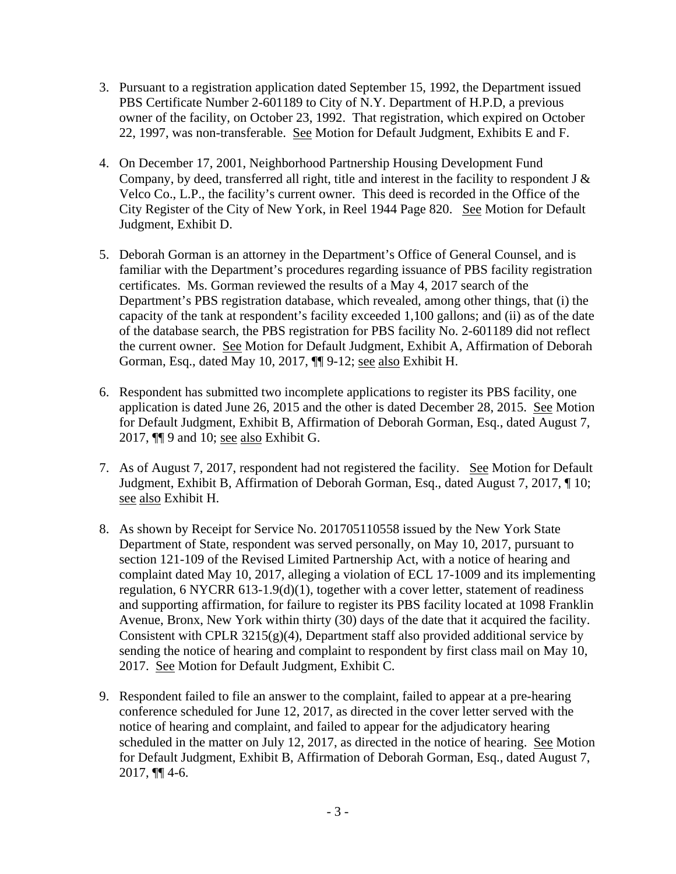- 3. Pursuant to a registration application dated September 15, 1992, the Department issued PBS Certificate Number 2-601189 to City of N.Y. Department of H.P.D, a previous owner of the facility, on October 23, 1992. That registration, which expired on October 22, 1997, was non-transferable. See Motion for Default Judgment, Exhibits E and F.
- 4. On December 17, 2001, Neighborhood Partnership Housing Development Fund Company, by deed, transferred all right, title and interest in the facility to respondent J & Velco Co., L.P., the facility's current owner. This deed is recorded in the Office of the City Register of the City of New York, in Reel 1944 Page 820. See Motion for Default Judgment, Exhibit D.
- 5. Deborah Gorman is an attorney in the Department's Office of General Counsel, and is familiar with the Department's procedures regarding issuance of PBS facility registration certificates. Ms. Gorman reviewed the results of a May 4, 2017 search of the Department's PBS registration database, which revealed, among other things, that (i) the capacity of the tank at respondent's facility exceeded 1,100 gallons; and (ii) as of the date of the database search, the PBS registration for PBS facility No. 2-601189 did not reflect the current owner. See Motion for Default Judgment, Exhibit A, Affirmation of Deborah Gorman, Esq., dated May 10, 2017, ¶ 9-12; see also Exhibit H.
- 6. Respondent has submitted two incomplete applications to register its PBS facility, one application is dated June 26, 2015 and the other is dated December 28, 2015. See Motion for Default Judgment, Exhibit B, Affirmation of Deborah Gorman, Esq., dated August 7, 2017,  $\P$  9 and 10; see also Exhibit G.
- 7. As of August 7, 2017, respondent had not registered the facility. See Motion for Default Judgment, Exhibit B, Affirmation of Deborah Gorman, Esq., dated August 7, 2017, ¶ 10; see also Exhibit H.
- 8. As shown by Receipt for Service No. 201705110558 issued by the New York State Department of State, respondent was served personally, on May 10, 2017, pursuant to section 121-109 of the Revised Limited Partnership Act, with a notice of hearing and complaint dated May 10, 2017, alleging a violation of ECL 17-1009 and its implementing regulation, 6 NYCRR 613-1.9(d)(1), together with a cover letter, statement of readiness and supporting affirmation, for failure to register its PBS facility located at 1098 Franklin Avenue, Bronx, New York within thirty (30) days of the date that it acquired the facility. Consistent with CPLR  $3215(g)(4)$ , Department staff also provided additional service by sending the notice of hearing and complaint to respondent by first class mail on May 10, 2017. See Motion for Default Judgment, Exhibit C.
- 9. Respondent failed to file an answer to the complaint, failed to appear at a pre-hearing conference scheduled for June 12, 2017, as directed in the cover letter served with the notice of hearing and complaint, and failed to appear for the adjudicatory hearing scheduled in the matter on July 12, 2017, as directed in the notice of hearing. See Motion for Default Judgment, Exhibit B, Affirmation of Deborah Gorman, Esq., dated August 7, 2017, ¶¶ 4-6.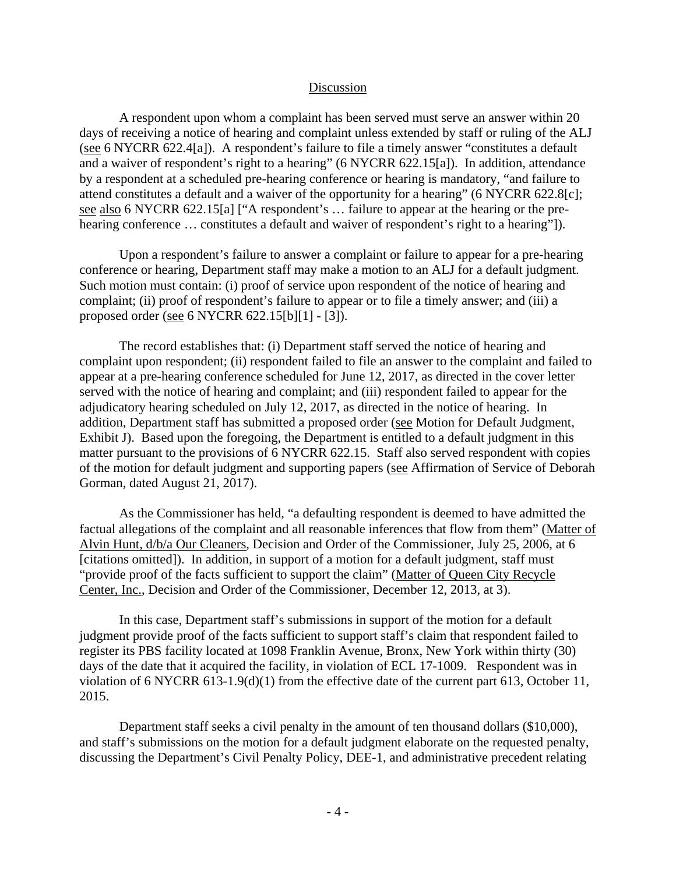#### **Discussion**

A respondent upon whom a complaint has been served must serve an answer within 20 days of receiving a notice of hearing and complaint unless extended by staff or ruling of the ALJ (see 6 NYCRR 622.4[a]). A respondent's failure to file a timely answer "constitutes a default and a waiver of respondent's right to a hearing" (6 NYCRR 622.15[a]). In addition, attendance by a respondent at a scheduled pre-hearing conference or hearing is mandatory, "and failure to attend constitutes a default and a waiver of the opportunity for a hearing" (6 NYCRR 622.8[c]; see also 6 NYCRR 622.15[a] ["A respondent's … failure to appear at the hearing or the prehearing conference ... constitutes a default and waiver of respondent's right to a hearing"]).

Upon a respondent's failure to answer a complaint or failure to appear for a pre-hearing conference or hearing, Department staff may make a motion to an ALJ for a default judgment. Such motion must contain: (i) proof of service upon respondent of the notice of hearing and complaint; (ii) proof of respondent's failure to appear or to file a timely answer; and (iii) a proposed order (see 6 NYCRR 622.15[b][1] - [3]).

The record establishes that: (i) Department staff served the notice of hearing and complaint upon respondent; (ii) respondent failed to file an answer to the complaint and failed to appear at a pre-hearing conference scheduled for June 12, 2017, as directed in the cover letter served with the notice of hearing and complaint; and (iii) respondent failed to appear for the adjudicatory hearing scheduled on July 12, 2017, as directed in the notice of hearing. In addition, Department staff has submitted a proposed order (see Motion for Default Judgment, Exhibit J). Based upon the foregoing, the Department is entitled to a default judgment in this matter pursuant to the provisions of 6 NYCRR 622.15. Staff also served respondent with copies of the motion for default judgment and supporting papers (see Affirmation of Service of Deborah Gorman, dated August 21, 2017).

 As the Commissioner has held, "a defaulting respondent is deemed to have admitted the factual allegations of the complaint and all reasonable inferences that flow from them" (Matter of Alvin Hunt, d/b/a Our Cleaners, Decision and Order of the Commissioner, July 25, 2006, at 6 [citations omitted]). In addition, in support of a motion for a default judgment, staff must "provide proof of the facts sufficient to support the claim" (Matter of Queen City Recycle Center, Inc., Decision and Order of the Commissioner, December 12, 2013, at 3).

In this case, Department staff's submissions in support of the motion for a default judgment provide proof of the facts sufficient to support staff's claim that respondent failed to register its PBS facility located at 1098 Franklin Avenue, Bronx, New York within thirty (30) days of the date that it acquired the facility, in violation of ECL 17-1009. Respondent was in violation of 6 NYCRR 613-1.9(d)(1) from the effective date of the current part 613, October 11, 2015.

Department staff seeks a civil penalty in the amount of ten thousand dollars (\$10,000), and staff's submissions on the motion for a default judgment elaborate on the requested penalty, discussing the Department's Civil Penalty Policy, DEE-1, and administrative precedent relating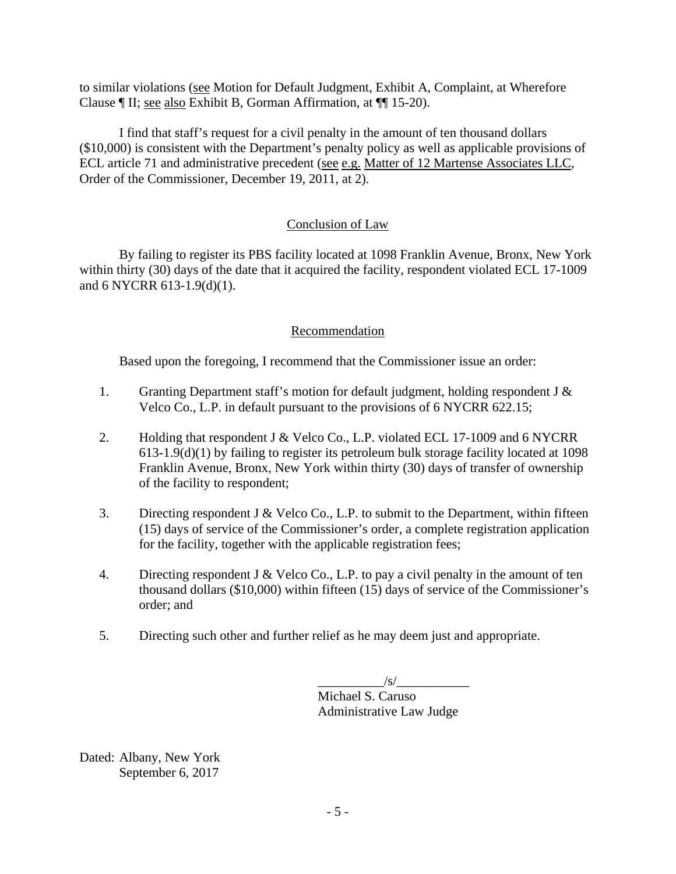to similar violations (see Motion for Default Judgment, Exhibit A, Complaint, at Wherefore Clause ¶ II; see also Exhibit B, Gorman Affirmation, at ¶¶ 15-20).

I find that staff's request for a civil penalty in the amount of ten thousand dollars (\$10,000) is consistent with the Department's penalty policy as well as applicable provisions of ECL article 71 and administrative precedent (see e.g. Matter of 12 Martense Associates LLC, Order of the Commissioner, December 19, 2011, at 2).

# Conclusion of Law

By failing to register its PBS facility located at 1098 Franklin Avenue, Bronx, New York within thirty (30) days of the date that it acquired the facility, respondent violated ECL 17-1009 and 6 NYCRR 613-1.9(d)(1).

# Recommendation

Based upon the foregoing, I recommend that the Commissioner issue an order:

- 1. Granting Department staff's motion for default judgment, holding respondent J & Velco Co., L.P. in default pursuant to the provisions of 6 NYCRR 622.15;
- 2. Holding that respondent J & Velco Co., L.P. violated ECL 17-1009 and 6 NYCRR 613-1.9(d)(1) by failing to register its petroleum bulk storage facility located at 1098 Franklin Avenue, Bronx, New York within thirty (30) days of transfer of ownership of the facility to respondent;
- 3. Directing respondent J & Velco Co., L.P. to submit to the Department, within fifteen (15) days of service of the Commissioner's order, a complete registration application for the facility, together with the applicable registration fees;
- 4. Directing respondent J & Velco Co., L.P. to pay a civil penalty in the amount of ten thousand dollars (\$10,000) within fifteen (15) days of service of the Commissioner's order; and
- 5. Directing such other and further relief as he may deem just and appropriate.

 $/\mathrm{s}/$ 

 Michael S. Caruso Administrative Law Judge

Dated: Albany, New York September 6, 2017